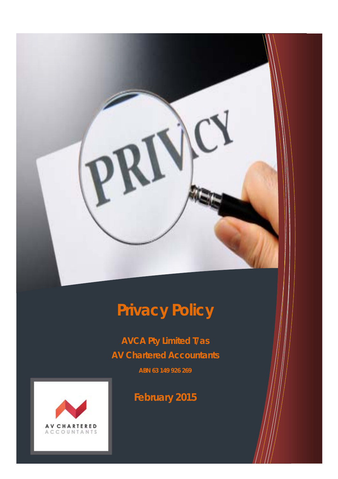# **Privacy Policy**

**AVCA Pty Limited T/as AV Chartered Accountants** 

**ABN 63 149 926 269** 



**February 2015**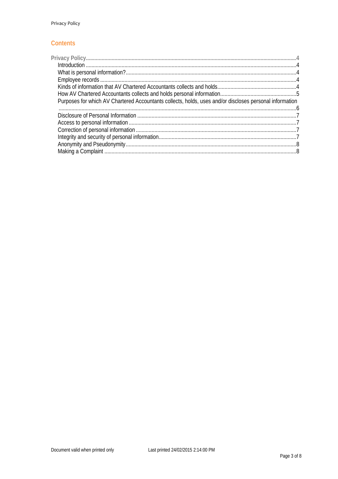#### **Contents**

| Purposes for which AV Chartered Accountants collects, holds, uses and/or discloses personal information |  |
|---------------------------------------------------------------------------------------------------------|--|
|                                                                                                         |  |
|                                                                                                         |  |
|                                                                                                         |  |
|                                                                                                         |  |
|                                                                                                         |  |
|                                                                                                         |  |
|                                                                                                         |  |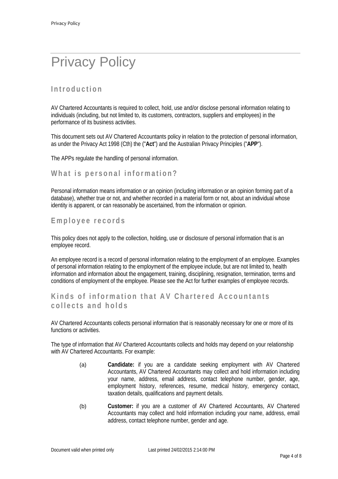# Privacy Policy

# **Introduction**

AV Chartered Accountants is required to collect, hold, use and/or disclose personal information relating to individuals (including, but not limited to, its customers, contractors, suppliers and employees) in the performance of its business activities.

This document sets out AV Chartered Accountants policy in relation to the protection of personal information, as under the Privacy Act 1998 (Cth) the ("**Act**") and the Australian Privacy Principles ("**APP**").

The APPs regulate the handling of personal information.

#### **What is personal information?**

Personal information means information or an opinion (including information or an opinion forming part of a database), whether true or not, and whether recorded in a material form or not, about an individual whose identity is apparent, or can reasonably be ascertained, from the information or opinion.

#### **Employee records**

This policy does not apply to the collection, holding, use or disclosure of personal information that is an employee record.

An employee record is a record of personal information relating to the employment of an employee. Examples of personal information relating to the employment of the employee include, but are not limited to, health information and information about the engagement, training, disciplining, resignation, termination, terms and conditions of employment of the employee. Please see the Act for further examples of employee records.

## **Kinds of information that AV Chartered Accountants collects and holds**

AV Chartered Accountants collects personal information that is reasonably necessary for one or more of its functions or activities.

The type of information that AV Chartered Accountants collects and holds may depend on your relationship with AV Chartered Accountants. For example:

- (a) **Candidate:** if you are a candidate seeking employment with AV Chartered Accountants, AV Chartered Accountants may collect and hold information including your name, address, email address, contact telephone number, gender, age, employment history, references, resume, medical history, emergency contact, taxation details, qualifications and payment details.
- (b) **Customer:** if you are a customer of AV Chartered Accountants, AV Chartered Accountants may collect and hold information including your name, address, email address, contact telephone number, gender and age.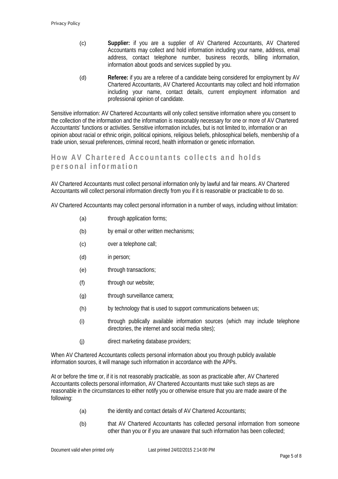- (c) **Supplier:** if you are a supplier of AV Chartered Accountants, AV Chartered Accountants may collect and hold information including your name, address, email address, contact telephone number, business records, billing information, information about goods and services supplied by you.
- (d) **Referee:** if you are a referee of a candidate being considered for employment by AV Chartered Accountants, AV Chartered Accountants may collect and hold information including your name, contact details, current employment information and professional opinion of candidate.

Sensitive information: AV Chartered Accountants will only collect sensitive information where you consent to the collection of the information and the information is reasonably necessary for one or more of AV Chartered Accountants' functions or activities. Sensitive information includes, but is not limited to, information or an opinion about racial or ethnic origin, political opinions, religious beliefs, philosophical beliefs, membership of a trade union, sexual preferences, criminal record, health information or genetic information.

# **How AV Chartered Accountants collects and holds personal information**

AV Chartered Accountants must collect personal information only by lawful and fair means. AV Chartered Accountants will collect personal information directly from you if it is reasonable or practicable to do so.

AV Chartered Accountants may collect personal information in a number of ways, including without limitation:

- (a) through application forms;
- (b) by email or other written mechanisms;
- (c) over a telephone call;
- (d) in person;
- (e) through transactions;
- (f) through our website;
- (g) through surveillance camera;
- (h) by technology that is used to support communications between us;
- (i) through publically available information sources (which may include telephone directories, the internet and social media sites);
- (j) direct marketing database providers;

When AV Chartered Accountants collects personal information about you through publicly available information sources, it will manage such information in accordance with the APPs.

At or before the time or, if it is not reasonably practicable, as soon as practicable after, AV Chartered Accountants collects personal information, AV Chartered Accountants must take such steps as are reasonable in the circumstances to either notify you or otherwise ensure that you are made aware of the following:

- (a) the identity and contact details of AV Chartered Accountants;
- (b) that AV Chartered Accountants has collected personal information from someone other than you or if you are unaware that such information has been collected;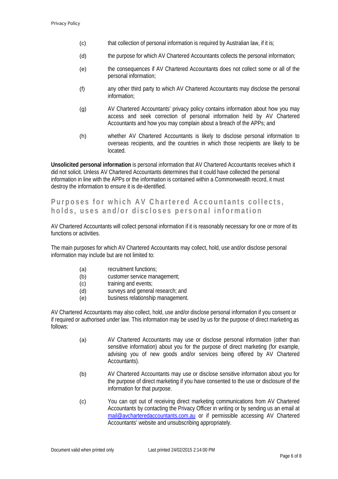- $(c)$  that collection of personal information is required by Australian law, if it is;
- (d) the purpose for which AV Chartered Accountants collects the personal information;
- (e) the consequences if AV Chartered Accountants does not collect some or all of the personal information;
- (f) any other third party to which AV Chartered Accountants may disclose the personal information;
- (g) AV Chartered Accountants' privacy policy contains information about how you may access and seek correction of personal information held by AV Chartered Accountants and how you may complain about a breach of the APPs; and
- (h) whether AV Chartered Accountants is likely to disclose personal information to overseas recipients, and the countries in which those recipients are likely to be located.

**Unsolicited personal information** is personal information that AV Chartered Accountants receives which it did not solicit. Unless AV Chartered Accountants determines that it could have collected the personal information in line with the APPs or the information is contained within a Commonwealth record, it must destroy the information to ensure it is de-identified.

# **Purposes for which AV Chartered Accountants collects, holds, uses and/or discloses personal information**

AV Chartered Accountants will collect personal information if it is reasonably necessary for one or more of its functions or activities.

The main purposes for which AV Chartered Accountants may collect, hold, use and/or disclose personal information may include but are not limited to:

- (a) recruitment functions;
- (b) customer service management;
- (c) training and events;
- (d) surveys and general research; and
- (e) business relationship management.

AV Chartered Accountants may also collect, hold, use and/or disclose personal information if you consent or if required or authorised under law. This information may be used by us for the purpose of direct marketing as follows:

- (a) AV Chartered Accountants may use or disclose personal information (other than sensitive information) about you for the purpose of direct marketing (for example, advising you of new goods and/or services being offered by AV Chartered Accountants).
- (b) AV Chartered Accountants may use or disclose sensitive information about you for the purpose of direct marketing if you have consented to the use or disclosure of the information for that purpose.
- (c) You can opt out of receiving direct marketing communications from AV Chartered Accountants by contacting the Privacy Officer in writing or by sending us an email at mail@avcharteredaccountants.com.au or if permissible accessing AV Chartered Accountants' website and unsubscribing appropriately.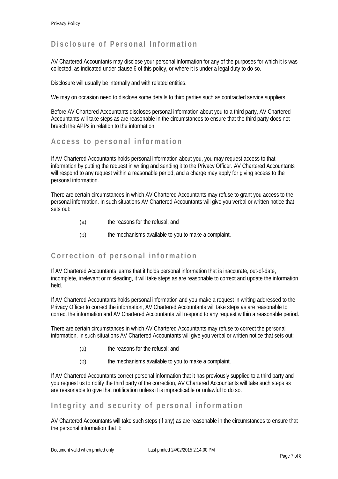# **Disclosure of Personal Information**

AV Chartered Accountants may disclose your personal information for any of the purposes for which it is was collected, as indicated under clause 6 of this policy, or where it is under a legal duty to do so.

Disclosure will usually be internally and with related entities.

We may on occasion need to disclose some details to third parties such as contracted service suppliers.

Before AV Chartered Accountants discloses personal information about you to a third party, AV Chartered Accountants will take steps as are reasonable in the circumstances to ensure that the third party does not breach the APPs in relation to the information.

#### **Access to personal information**

If AV Chartered Accountants holds personal information about you, you may request access to that information by putting the request in writing and sending it to the Privacy Officer. AV Chartered Accountants will respond to any request within a reasonable period, and a charge may apply for giving access to the personal information.

There are certain circumstances in which AV Chartered Accountants may refuse to grant you access to the personal information. In such situations AV Chartered Accountants will give you verbal or written notice that sets out:

- (a) the reasons for the refusal; and
- (b) the mechanisms available to you to make a complaint.

### **Correction of personal information**

If AV Chartered Accountants learns that it holds personal information that is inaccurate, out-of-date, incomplete, irrelevant or misleading, it will take steps as are reasonable to correct and update the information held.

If AV Chartered Accountants holds personal information and you make a request in writing addressed to the Privacy Officer to correct the information, AV Chartered Accountants will take steps as are reasonable to correct the information and AV Chartered Accountants will respond to any request within a reasonable period.

There are certain circumstances in which AV Chartered Accountants may refuse to correct the personal information. In such situations AV Chartered Accountants will give you verbal or written notice that sets out:

- (a) the reasons for the refusal; and
- (b) the mechanisms available to you to make a complaint.

If AV Chartered Accountants correct personal information that it has previously supplied to a third party and you request us to notify the third party of the correction, AV Chartered Accountants will take such steps as are reasonable to give that notification unless it is impracticable or unlawful to do so.

### **Integrity and security of personal information**

AV Chartered Accountants will take such steps (if any) as are reasonable in the circumstances to ensure that the personal information that it: